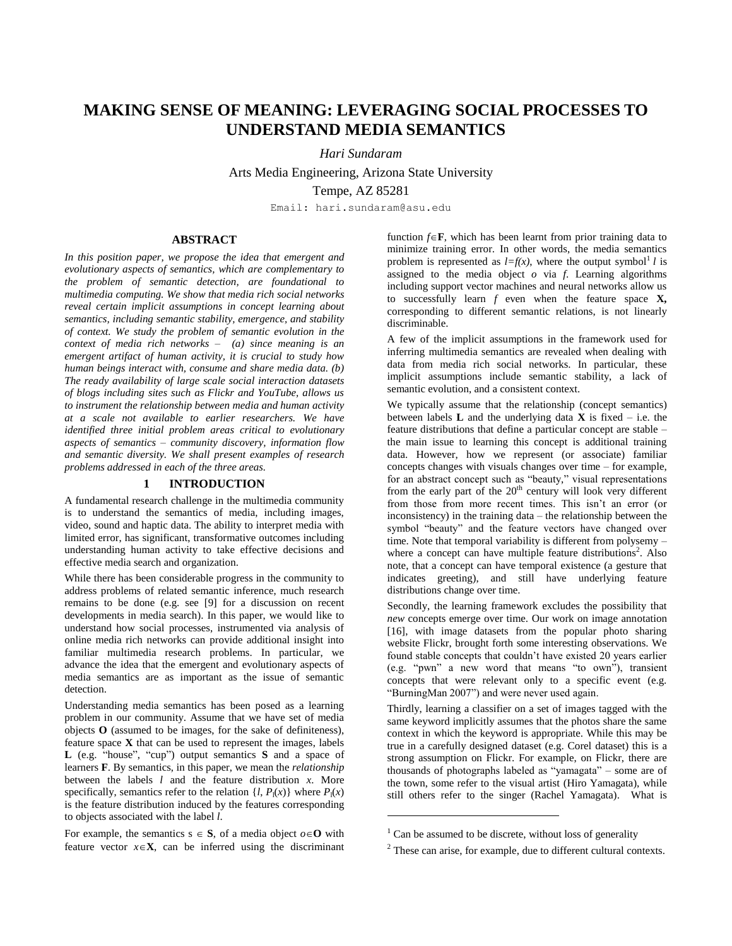# **MAKING SENSE OF MEANING: LEVERAGING SOCIAL PROCESSES TO UNDERSTAND MEDIA SEMANTICS**

*Hari Sundaram* 

Arts Media Engineering, Arizona State University

Tempe, AZ 85281

Email: hari.sundaram@asu.edu

## **ABSTRACT**

*In this position paper, we propose the idea that emergent and evolutionary aspects of semantics, which are complementary to the problem of semantic detection, are foundational to multimedia computing. We show that media rich social networks reveal certain implicit assumptions in concept learning about semantics, including semantic stability, emergence, and stability of context. We study the problem of semantic evolution in the context of media rich networks – (a) since meaning is an emergent artifact of human activity, it is crucial to study how human beings interact with, consume and share media data. (b) The ready availability of large scale social interaction datasets of blogs including sites such as Flickr and YouTube, allows us to instrument the relationship between media and human activity at a scale not available to earlier researchers. We have identified three initial problem areas critical to evolutionary aspects of semantics – community discovery, information flow and semantic diversity. We shall present examples of research problems addressed in each of the three areas.* 

## **1 INTRODUCTION**

A fundamental research challenge in the multimedia community is to understand the semantics of media, including images, video, sound and haptic data. The ability to interpret media with limited error, has significant, transformative outcomes including understanding human activity to take effective decisions and effective media search and organization.

While there has been considerable progress in the community to address problems of related semantic inference, much research remains to be done (e.g. see [9] for a discussion on recent developments in media search). In this paper, we would like to understand how social processes, instrumented via analysis of online media rich networks can provide additional insight into familiar multimedia research problems. In particular, we advance the idea that the emergent and evolutionary aspects of media semantics are as important as the issue of semantic detection.

Understanding media semantics has been posed as a learning problem in our community. Assume that we have set of media objects **O** (assumed to be images, for the sake of definiteness), feature space **X** that can be used to represent the images, labels **L** (e.g. "house", "cup") output semantics **S** and a space of learners **F**. By semantics, in this paper, we mean the *relationship*  between the labels *l* and the feature distribution *x*. More specifically, semantics refer to the relation  $\{l, P_{\parallel}(x)\}$  where  $P_{\parallel}(x)$ is the feature distribution induced by the features corresponding to objects associated with the label *l*.

For example, the semantics  $s \in S$ , of a media object  $o \in \mathbf{O}$  with feature vector  $x \in X$ , can be inferred using the discriminant function  $f \in \mathbf{F}$ , which has been learnt from prior training data to minimize training error. In other words, the media semantics problem is represented as  $l = f(x)$ , where the output symbol<sup>1</sup> l is assigned to the media object  $o$  via  $f$ . Learning algorithms including support vector machines and neural networks allow us to successfully learn  $f$  even when the feature space  $X$ , corresponding to different semantic relations, is not linearly discriminable.

A few of the implicit assumptions in the framework used for inferring multimedia semantics are revealed when dealing with data from media rich social networks. In particular, these implicit assumptions include semantic stability, a lack of semantic evolution, and a consistent context.

We typically assume that the relationship (concept semantics) between labels  $L$  and the underlying data  $X$  is fixed – i.e. the feature distributions that define a particular concept are stable – the main issue to learning this concept is additional training data. However, how we represent (or associate) familiar concepts changes with visuals changes over time – for example, for an abstract concept such as "beauty," visual representations from the early part of the  $20<sup>th</sup>$  century will look very different from those from more recent times. This isn't an error (or inconsistency) in the training data – the relationship between the symbol "beauty" and the feature vectors have changed over time. Note that temporal variability is different from polysemy – where a concept can have multiple feature distributions<sup>2</sup>. Also note, that a concept can have temporal existence (a gesture that indicates greeting), and still have underlying feature distributions change over time.

Secondly, the learning framework excludes the possibility that *new* concepts emerge over time. Our work on image annotation [16], with image datasets from the popular photo sharing website Flickr, brought forth some interesting observations. We found stable concepts that couldn't have existed 20 years earlier (e.g. "pwn" a new word that means "to own"), transient concepts that were relevant only to a specific event (e.g. "BurningMan 2007") and were never used again.

Thirdly, learning a classifier on a set of images tagged with the same keyword implicitly assumes that the photos share the same context in which the keyword is appropriate. While this may be true in a carefully designed dataset (e.g. Corel dataset) this is a strong assumption on Flickr. For example, on Flickr, there are thousands of photographs labeled as "yamagata" – some are of the town, some refer to the visual artist (Hiro Yamagata), while still others refer to the singer (Rachel Yamagata). What is

l

 $1 \text{ Can be assumed to be discrete, without loss of generality}$ 

 $2$  These can arise, for example, due to different cultural contexts.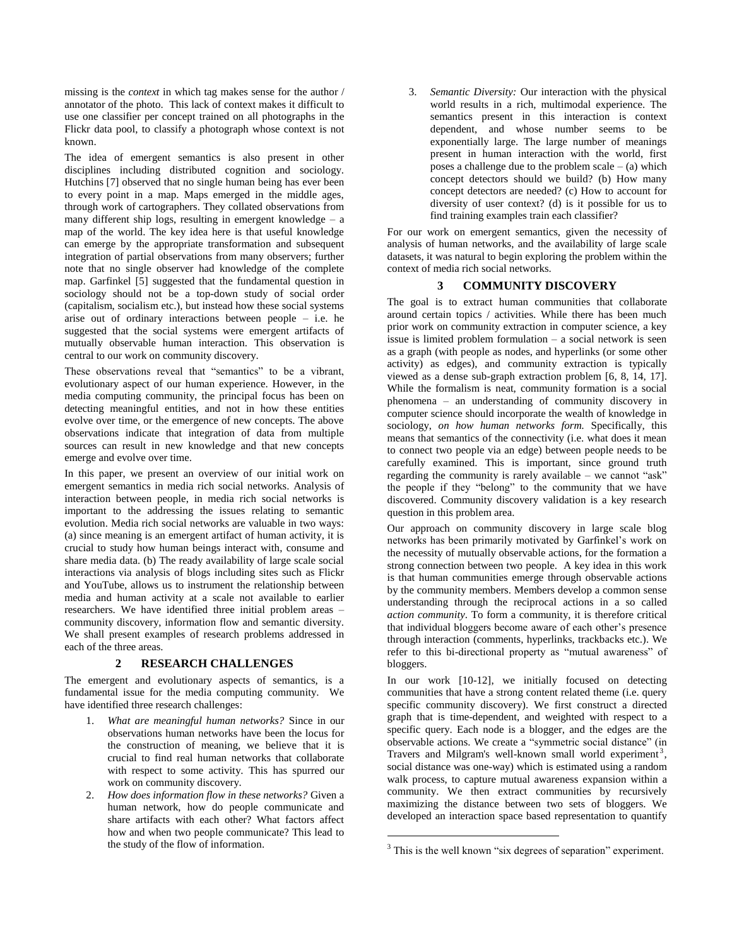missing is the *context* in which tag makes sense for the author / annotator of the photo. This lack of context makes it difficult to use one classifier per concept trained on all photographs in the Flickr data pool, to classify a photograph whose context is not known.

The idea of emergent semantics is also present in other disciplines including distributed cognition and sociology. Hutchins [7] observed that no single human being has ever been to every point in a map. Maps emerged in the middle ages, through work of cartographers. They collated observations from many different ship logs, resulting in emergent knowledge – a map of the world. The key idea here is that useful knowledge can emerge by the appropriate transformation and subsequent integration of partial observations from many observers; further note that no single observer had knowledge of the complete map. Garfinkel [5] suggested that the fundamental question in sociology should not be a top-down study of social order (capitalism, socialism etc.), but instead how these social systems arise out of ordinary interactions between people – i.e. he suggested that the social systems were emergent artifacts of mutually observable human interaction. This observation is central to our work on community discovery.

These observations reveal that "semantics" to be a vibrant, evolutionary aspect of our human experience. However, in the media computing community, the principal focus has been on detecting meaningful entities, and not in how these entities evolve over time, or the emergence of new concepts. The above observations indicate that integration of data from multiple sources can result in new knowledge and that new concepts emerge and evolve over time.

In this paper, we present an overview of our initial work on emergent semantics in media rich social networks. Analysis of interaction between people, in media rich social networks is important to the addressing the issues relating to semantic evolution. Media rich social networks are valuable in two ways: (a) since meaning is an emergent artifact of human activity, it is crucial to study how human beings interact with, consume and share media data. (b) The ready availability of large scale social interactions via analysis of blogs including sites such as Flickr and YouTube, allows us to instrument the relationship between media and human activity at a scale not available to earlier researchers. We have identified three initial problem areas – community discovery, information flow and semantic diversity. We shall present examples of research problems addressed in each of the three areas.

#### **2 RESEARCH CHALLENGES**

The emergent and evolutionary aspects of semantics, is a fundamental issue for the media computing community. We have identified three research challenges:

- 1. *What are meaningful human networks?* Since in our observations human networks have been the locus for the construction of meaning, we believe that it is crucial to find real human networks that collaborate with respect to some activity. This has spurred our work on community discovery.
- 2. *How does information flow in these networks?* Given a human network, how do people communicate and share artifacts with each other? What factors affect how and when two people communicate? This lead to the study of the flow of information.

3. *Semantic Diversity:* Our interaction with the physical world results in a rich, multimodal experience. The semantics present in this interaction is context dependent, and whose number seems to be exponentially large. The large number of meanings present in human interaction with the world, first poses a challenge due to the problem scale  $-$  (a) which concept detectors should we build? (b) How many concept detectors are needed? (c) How to account for diversity of user context? (d) is it possible for us to find training examples train each classifier?

For our work on emergent semantics, given the necessity of analysis of human networks, and the availability of large scale datasets, it was natural to begin exploring the problem within the context of media rich social networks.

### **3 COMMUNITY DISCOVERY**

The goal is to extract human communities that collaborate around certain topics / activities. While there has been much prior work on community extraction in computer science, a key issue is limited problem formulation – a social network is seen as a graph (with people as nodes, and hyperlinks (or some other activity) as edges), and community extraction is typically viewed as a dense sub-graph extraction problem [6, 8, 14, 17]. While the formalism is neat, community formation is a social phenomena – an understanding of community discovery in computer science should incorporate the wealth of knowledge in sociology, *on how human networks form.* Specifically, this means that semantics of the connectivity (i.e. what does it mean to connect two people via an edge) between people needs to be carefully examined. This is important, since ground truth regarding the community is rarely available – we cannot "ask" the people if they "belong" to the community that we have discovered. Community discovery validation is a key research question in this problem area.

Our approach on community discovery in large scale blog networks has been primarily motivated by Garfinkel's work on the necessity of mutually observable actions, for the formation a strong connection between two people. A key idea in this work is that human communities emerge through observable actions by the community members. Members develop a common sense understanding through the reciprocal actions in a so called *action community*. To form a community, it is therefore critical that individual bloggers become aware of each other's presence through interaction (comments, hyperlinks, trackbacks etc.). We refer to this bi-directional property as "mutual awareness" of bloggers.

In our work [10-12], we initially focused on detecting communities that have a strong content related theme (i.e. query specific community discovery). We first construct a directed graph that is time-dependent, and weighted with respect to a specific query. Each node is a blogger, and the edges are the observable actions. We create a "symmetric social distance" (in Travers and Milgram's well-known small world experiment<sup>3</sup>, social distance was one-way) which is estimated using a random walk process, to capture mutual awareness expansion within a community. We then extract communities by recursively maximizing the distance between two sets of bloggers. We developed an interaction space based representation to quantify

l

<sup>&</sup>lt;sup>3</sup> This is the well known "six degrees of separation" experiment.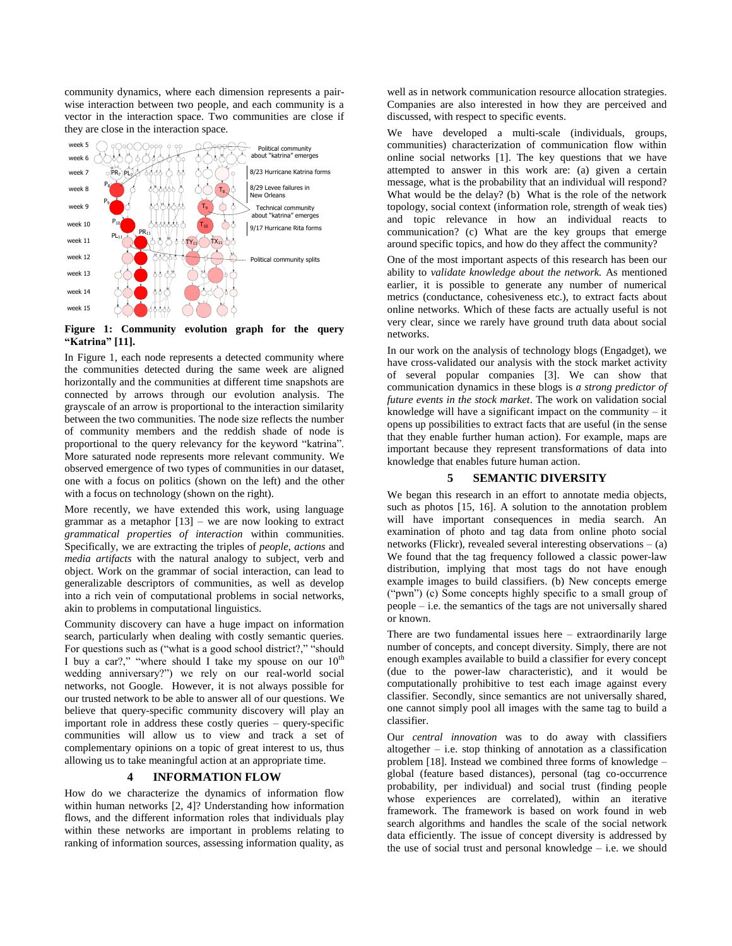community dynamics, where each dimension represents a pairwise interaction between two people, and each community is a vector in the interaction space. Two communities are close if they are close in the interaction space.



<span id="page-2-0"></span>**Figure 1: Community evolution graph for the query "Katrina" [11].**

In [Figure 1,](#page-2-0) each node represents a detected community where the communities detected during the same week are aligned horizontally and the communities at different time snapshots are connected by arrows through our evolution analysis. The grayscale of an arrow is proportional to the interaction similarity between the two communities. The node size reflects the number of community members and the reddish shade of node is proportional to the query relevancy for the keyword "katrina". More saturated node represents more relevant community. We observed emergence of two types of communities in our dataset, one with a focus on politics (shown on the left) and the other with a focus on technology (shown on the right).

More recently, we have extended this work, using language grammar as a metaphor [13] – we are now looking to extract *grammatical properties of interaction* within communities. Specifically, we are extracting the triples of *people*, *actions* and *media artifacts* with the natural analogy to subject, verb and object. Work on the grammar of social interaction, can lead to generalizable descriptors of communities, as well as develop into a rich vein of computational problems in social networks, akin to problems in computational linguistics.

Community discovery can have a huge impact on information search, particularly when dealing with costly semantic queries. For questions such as ("what is a good school district?," "should I buy a car?," "where should I take my spouse on our  $10^{th}$ wedding anniversary?") we rely on our real-world social networks, not Google. However, it is not always possible for our trusted network to be able to answer all of our questions. We believe that query-specific community discovery will play an important role in address these costly queries – query-specific communities will allow us to view and track a set of complementary opinions on a topic of great interest to us, thus allowing us to take meaningful action at an appropriate time.

#### **4 INFORMATION FLOW**

How do we characterize the dynamics of information flow within human networks [2, 4]? Understanding how information flows, and the different information roles that individuals play within these networks are important in problems relating to ranking of information sources, assessing information quality, as well as in network communication resource allocation strategies. Companies are also interested in how they are perceived and discussed, with respect to specific events.

We have developed a multi-scale (individuals, groups, communities) characterization of communication flow within online social networks [1]. The key questions that we have attempted to answer in this work are: (a) given a certain message, what is the probability that an individual will respond? What would be the delay? (b) What is the role of the network topology, social context (information role, strength of weak ties) and topic relevance in how an individual reacts to communication? (c) What are the key groups that emerge around specific topics, and how do they affect the community?

One of the most important aspects of this research has been our ability to *validate knowledge about the network.* As mentioned earlier, it is possible to generate any number of numerical metrics (conductance, cohesiveness etc.), to extract facts about online networks. Which of these facts are actually useful is not very clear, since we rarely have ground truth data about social networks.

In our work on the analysis of technology blogs (Engadget), we have cross-validated our analysis with the stock market activity of several popular companies [3]. We can show that communication dynamics in these blogs is *a strong predictor of future events in the stock market*. The work on validation social knowledge will have a significant impact on the community  $-$  it opens up possibilities to extract facts that are useful (in the sense that they enable further human action). For example, maps are important because they represent transformations of data into knowledge that enables future human action.

#### **5 SEMANTIC DIVERSITY**

We began this research in an effort to annotate media objects, such as photos [15, 16]. A solution to the annotation problem will have important consequences in media search. An examination of photo and tag data from online photo social networks (Flickr), revealed several interesting observations – (a) We found that the tag frequency followed a classic power-law distribution, implying that most tags do not have enough example images to build classifiers. (b) New concepts emerge ("pwn") (c) Some concepts highly specific to a small group of people – i.e. the semantics of the tags are not universally shared or known.

There are two fundamental issues here – extraordinarily large number of concepts, and concept diversity. Simply, there are not enough examples available to build a classifier for every concept (due to the power-law characteristic), and it would be computationally prohibitive to test each image against every classifier. Secondly, since semantics are not universally shared, one cannot simply pool all images with the same tag to build a classifier.

Our *central innovation* was to do away with classifiers altogether  $-$  i.e. stop thinking of annotation as a classification problem [18]. Instead we combined three forms of knowledge – global (feature based distances), personal (tag co-occurrence probability, per individual) and social trust (finding people whose experiences are correlated), within an iterative framework. The framework is based on work found in web search algorithms and handles the scale of the social network data efficiently. The issue of concept diversity is addressed by the use of social trust and personal knowledge  $-$  i.e. we should